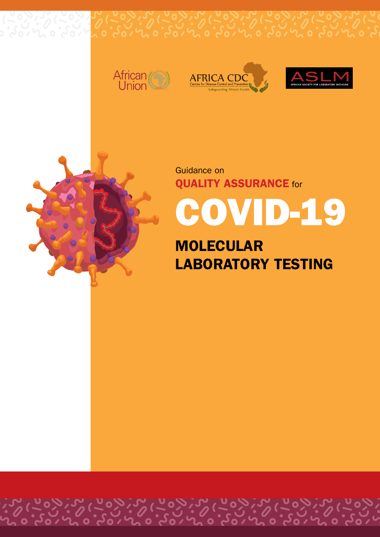





Guidance on **QUALITY ASSURANCE** for

COVID-19

**MOLECULAR LABORATORY TESTING**

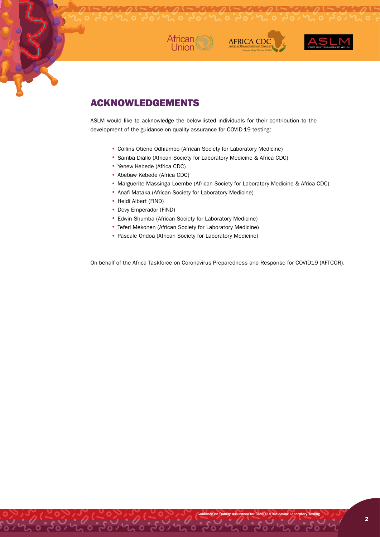





## ACKNOWLEDGEMENTS

ASLM would like to acknowledge the below-listed individuals for their contribution to the development of the guidance on quality assurance for COVID-19 testing:

- Collins Otieno Odhiambo (African Society for Laboratory Medicine)
- Samba Diallo (African Society for Laboratory Medicine & Africa CDC)
- Yenew Kebede (Africa CDC)
- Abebaw Kebede (Africa CDC)
- Marguerite Massinga Loembe (African Society for Laboratory Medicine & Africa CDC)
- •Anafi Mataka (African Society for Laboratory Medicine)
- Heidi Albert (FIND)
- Devy Emperador (FIND)
- •Edwin Shumba (African Society for Laboratory Medicine)
- •Teferi Mekonen (African Society for Laboratory Medicine)
- •Pascale Ondoa (African Society for Laboratory Medicine)

On behalf of the Africa Taskforce on Coronavirus Preparedness and Response for COVID19 (AFTCOR).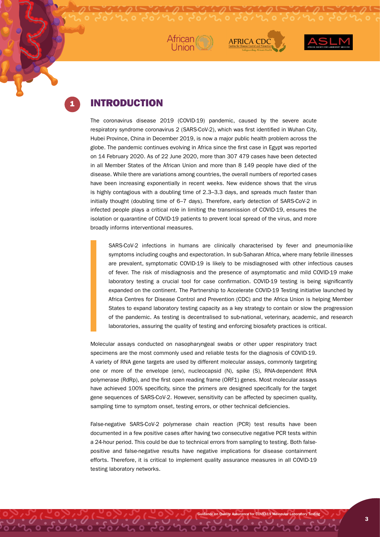





### **INTRODUCTION**

The coronavirus disease 2019 (COVID-19) pandemic, caused by the severe acute respiratory syndrome coronavirus 2 (SARS-CoV-2), which was first identified in Wuhan City, Hubei Province, China in December 2019, is now a major public health problem across the globe. The pandemic continues evolving in Africa since the first case in Egypt was reported on 14 February 2020. As of 22 June 2020, more than 307 479 cases have been detected in all Member States of the African Union and more than 8 149 people have died of the disease. While there are variations among countries, the overall numbers of reported cases have been increasing exponentially in recent weeks. New evidence shows that the virus is highly contagious with a doubling time of 2.3–3.3 days, and spreads much faster than initially thought (doubling time of 6–7 days). Therefore, early detection of SARS-CoV-2 in infected people plays a critical role in limiting the transmission of COVID-19, ensures the isolation or quarantine of COVID-19 patients to prevent local spread of the virus, and more broadly informs interventional measures.

SARS-CoV-2 infections in humans are clinically characterised by fever and pneumonia-like symptoms including coughs and expectoration. In sub-Saharan Africa, where many febrile illnesses are prevalent, symptomatic COVID-19 is likely to be misdiagnosed with other infectious causes of fever. The risk of misdiagnosis and the presence of asymptomatic and mild COVID-19 make laboratory testing a crucial tool for case confirmation. COVID-19 testing is being significantly expanded on the continent. The Partnership to Accelerate COVID-19 Testing initiative launched by Africa Centres for Disease Control and Prevention (CDC) and the Africa Union is helping Member States to expand laboratory testing capacity as a key strategy to contain or slow the progression of the pandemic. As testing is decentralised to sub-national, veterinary, academic, and research laboratories, assuring the quality of testing and enforcing biosafety practices is critical.

Molecular assays conducted on nasopharyngeal swabs or other upper respiratory tract specimens are the most commonly used and reliable tests for the diagnosis of COVID-19. A variety of RNA gene targets are used by different molecular assays, commonly targeting one or more of the envelope (env), nucleocapsid (N), spike (S), RNA-dependent RNA polymerase (RdRp), and the first open reading frame (ORF1) genes. Most molecular assays have achieved 100% specificity, since the primers are designed specifically for the target gene sequences of SARS-CoV-2. However, sensitivity can be affected by specimen quality, sampling time to symptom onset, testing errors, or other technical deficiencies.

False-negative SARS-CoV-2 polymerase chain reaction (PCR) test results have been documented in a few positive cases after having two consecutive negative PCR tests within a 24-hour period. This could be due to technical errors from sampling to testing. Both falsepositive and false-negative results have negative implications for disease containment efforts. Therefore, it is critical to implement quality assurance measures in all COVID-19 testing laboratory networks.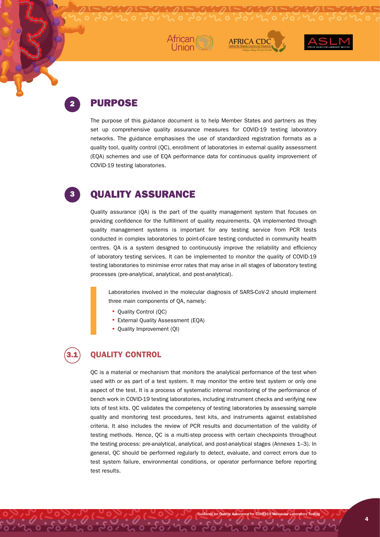





## PURPOSE

2

3

The purpose of this guidance document is to help Member States and partners as they set up comprehensive quality assurance measures for COVID-19 testing laboratory networks. The guidance emphasises the use of standardized registration formats as a quality tool, quality control (QC), enrollment of laboratories in external quality assessment (EQA) schemes and use of EQA performance data for continuous quality improvement of COVID-19 testing laboratories.

# QUALITY ASSURANCE

Quality assurance (QA) is the part of the quality management system that focuses on providing confidence for the fulfillment of quality requirements. QA implemented through quality management systems is important for any testing service from PCR tests conducted in complex laboratories to point-of-care testing conducted in community health centres. QA is a system designed to continuously improve the reliability and efficiency of laboratory testing services. It can be implemented to monitor the quality of COVID-19 testing laboratories to minimise error rates that may arise in all stages of laboratory testing processes (pre-analytical, analytical, and post-analytical).

Laboratories involved in the molecular diagnosis of SARS-CoV-2 should implement three main components of QA, namely:

- Quality Control (QC)
- •External Quality Assessment (EQA)
- Quality Improvement (QI)

# 3.1

### **QUALITY CONTROL**

QC is a material or mechanism that monitors the analytical performance of the test when used with or as part of a test system. It may monitor the entire test system or only one aspect of the test. It is a process of systematic internal monitoring of the performance of bench work in COVID-19 testing laboratories, including instrument checks and verifying new lots of test kits. QC validates the competency of testing laboratories by assessing sample quality and monitoring test procedures, test kits, and instruments against established criteria. It also includes the review of PCR results and documentation of the validity of testing methods. Hence, QC is a multi-step process with certain checkpoints throughout the testing process: pre-analytical, analytical, and post-analytical stages (Annexes 1–3). In general, QC should be performed regularly to detect, evaluate, and correct errors due to test system failure, environmental conditions, or operator performance before reporting test results.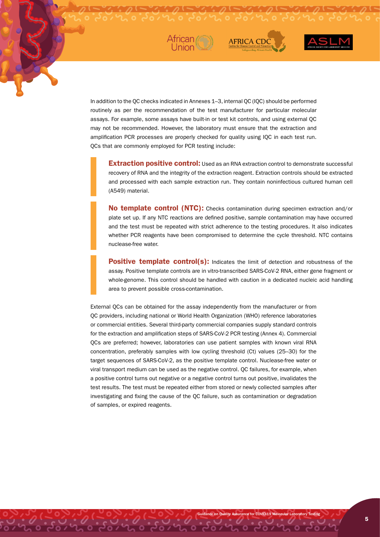



In addition to the QC checks indicated in Annexes 1–3, internal QC (IQC) should be performed routinely as per the recommendation of the test manufacturer for particular molecular assays. For example, some assays have built-in or test kit controls, and using external QC may not be recommended. However, the laboratory must ensure that the extraction and amplification PCR processes are properly checked for quality using IQC in each test run. QCs that are commonly employed for PCR testing include:

**Extraction positive control:** Used as an RNA extraction control to demonstrate successful recovery of RNA and the integrity of the extraction reagent. Extraction controls should be extracted and processed with each sample extraction run. They contain noninfectious cultured human cell (A549) material.

**AFRICA CD** 

**No template control (NTC):** Checks contamination during specimen extraction and/or plate set up. If any NTC reactions are defined positive, sample contamination may have occurred and the test must be repeated with strict adherence to the testing procedures. It also indicates whether PCR reagents have been compromised to determine the cycle threshold. NTC contains nuclease-free water.

**Positive template control(s):** Indicates the limit of detection and robustness of the assay. Positive template controls are in vitro-transcribed SARS-CoV-2 RNA, either gene fragment or whole-genome. This control should be handled with caution in a dedicated nucleic acid handling area to prevent possible cross-contamination.

Guidance on Quality Assurance for COVID-19 Molecular Laboratory Testing

External QCs can be obtained for the assay independently from the manufacturer or from QC providers, including national or World Health Organization (WHO) reference laboratories or commercial entities. Several third-party commercial companies supply standard controls for the extraction and amplification steps of SARS-CoV-2 PCR testing (Annex 4). Commercial QCs are preferred; however, laboratories can use patient samples with known viral RNA concentration, preferably samples with low cycling threshold (Ct) values (25–30) for the target sequences of SARS-CoV-2, as the positive template control. Nuclease-free water or viral transport medium can be used as the negative control. QC failures, for example, when a positive control turns out negative or a negative control turns out positive, invalidates the test results. The test must be repeated either from stored or newly collected samples after investigating and fixing the cause of the QC failure, such as contamination or degradation of samples, or expired reagents.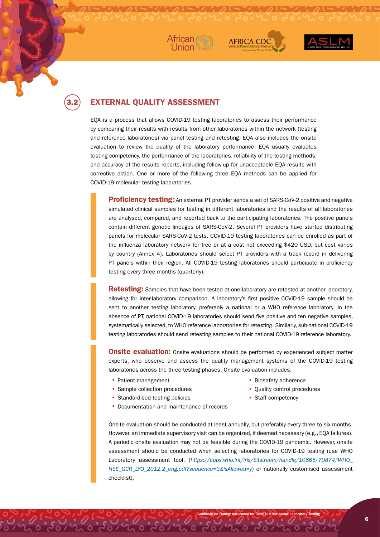





3.2

### **EXTERNAL QUALITY ASSESSMENT**

EQA is a process that allows COVID-19 testing laboratories to assess their performance by comparing their results with results from other laboratories within the network (testing and reference laboratories) via panel testing and retesting. EQA also includes the onsite evaluation to review the quality of the laboratory performance. EQA usually evaluates testing competency, the performance of the laboratories, reliability of the testing methods, and accuracy of the results reports, including follow-up for unacceptable EQA results with corrective action. One or more of the following three EQA methods can be applied for COVID-19 molecular testing laboratories.

**Proficiency testing:** An external PT provider sends a set of SARS-CoV-2 positive and negative simulated clinical samples for testing in different laboratories and the results of all laboratories are analysed, compared, and reported back to the participating laboratories. The positive panels contain different genetic lineages of SARS-CoV-2. Several PT providers have started distributing panels for molecular SARS-CoV-2 tests. COVID-19 testing laboratories can be enrolled as part of the influenza laboratory network for free or at a cost not exceeding \$420 USD, but cost varies by country (Annex 4). Laboratories should select PT providers with a track record in delivering PT panels within their region. All COVID-19 testing laboratories should participate in proficiency testing every three months (quarterly).

**Retesting:** Samples that have been tested at one laboratory are retested at another laboratory, allowing for inter-laboratory comparison. A laboratory's first positive COVID-19 sample should be sent to another testing laboratory, preferably a national or a WHO reference laboratory. In the absence of PT, national COVID-19 laboratories should send five positive and ten negative samples, systematically selected, to WHO reference laboratories for retesting. Similarly, sub-national COVID-19 testing laboratories should send retesting samples to their national COVID-19 reference laboratory.

**Onsite evaluation:** Onsite evaluations should be performed by experienced subject matter experts, who observe and assess the quality management systems of the COVID-19 testing laboratories across the three testing phases. Onsite evaluation includes:

- Patient management **•** Biosafety adherence
- Sample collection procedures
- Standardised testing policies
- Documentation and maintenance of records
- 
- Quality control procedures
- Staff competency

Guidance on Quality Assurance for COVID-19 Molecular Laboratory Testing

Onsite evaluation should be conducted at least annually, but preferably every three to six months. However, an immediate supervisory visit can be organized, if deemed necessary (e.g., EQA failures). A periodic onsite evaluation may not be feasible during the COVID-19 pandemic. However, onsite assessment should be conducted when selecting laboratories for COVID-19 testing (use WHO Laboratory assessment tool. (*[https://apps.who.int/iris/bitstream/handle/10665/70874/WHO\\_](https://apps.who.int/iris/bitstream/handle/10665/70874/WHO_HSE_GCR_LYO_2012.2_eng.pdf?sequence=3&isAllowed=y) [HSE\\_GCR\\_LYO\\_2012.2\\_eng.pdf?sequence=3&isAllowed=y](https://apps.who.int/iris/bitstream/handle/10665/70874/WHO_HSE_GCR_LYO_2012.2_eng.pdf?sequence=3&isAllowed=y)*) or nationally customised assessment checklist).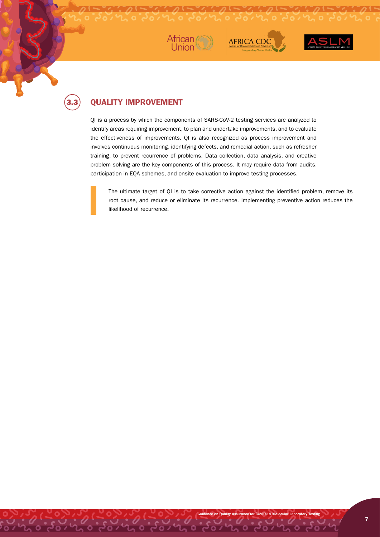





# 3.3

### **QUALITY IMPROVEMENT**

QI is a process by which the components of SARS-CoV-2 testing services are analyzed to identify areas requiring improvement, to plan and undertake improvements, and to evaluate the effectiveness of improvements. QI is also recognized as process improvement and involves continuous monitoring, identifying defects, and remedial action, such as refresher training, to prevent recurrence of problems. Data collection, data analysis, and creative problem solving are the key components of this process. It may require data from audits, participation in EQA schemes, and onsite evaluation to improve testing processes.

The ultimate target of QI is to take corrective action against the identified problem, remove its root cause, and reduce or eliminate its recurrence. Implementing preventive action reduces the likelihood of recurrence.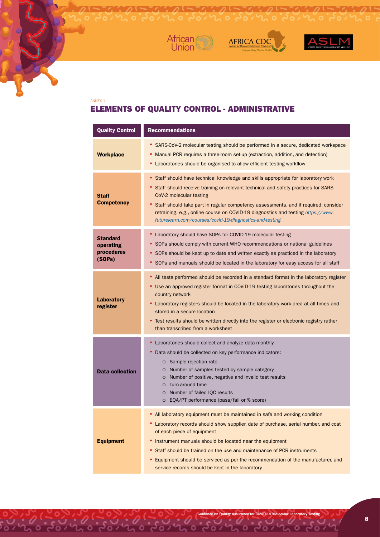



 $\mathcal{L} \cdot \mathcal{D} \left[ -\frac{1}{2} \cdot \frac{1}{2} \cdot \mathcal{D} \left( -\frac{1}{2} \cdot \frac{1}{2} \cdot \mathcal{D} \left( -\frac{1}{2} \cdot \frac{1}{2} \cdot \mathcal{D} \left( -\frac{1}{2} \cdot \frac{1}{2} \cdot \mathcal{D} \left( -\frac{1}{2} \cdot \frac{1}{2} \cdot \mathcal{D} \left( -\frac{1}{2} \cdot \frac{1}{2} \cdot \mathcal{D} \left( -\frac{1}{2} \cdot \frac{1}{2} \cdot \mathcal{D} \left( -\frac{1}{2$ 



### ANNEX 1 ELEMENTS OF QUALITY CONTROL - ADMINISTRATIVE

| <b>Quality Control</b>                        | <b>Recommendations</b>                                                                                                                                                                                                                                                                                                                                                                                                                                                          |  |
|-----------------------------------------------|---------------------------------------------------------------------------------------------------------------------------------------------------------------------------------------------------------------------------------------------------------------------------------------------------------------------------------------------------------------------------------------------------------------------------------------------------------------------------------|--|
| <b>Workplace</b>                              | • SARS-CoV-2 molecular testing should be performed in a secure, dedicated workspace<br>Manual PCR requires a three-room set-up (extraction, addition, and detection)<br>• Laboratories should be organised to allow efficient testing workflow                                                                                                                                                                                                                                  |  |
| Staff<br><b>Competency</b>                    | Staff should have technical knowledge and skills appropriate for laboratory work<br>• Staff should receive training on relevant technical and safety practices for SARS-<br>CoV-2 molecular testing<br>• Staff should take part in regular competency assessments, and if required, consider<br>retraining. e.g., online course on COVID-19 diagnostics and testing https://www.<br>futurelearn.com/courses/covid-19-diagnostics-and-testing                                    |  |
| Standard<br>operating<br>procedures<br>(SOPs) | • Laboratory should have SOPs for COVID-19 molecular testing<br>• SOPs should comply with current WHO recommendations or national guidelines<br>• SOPs should be kept up to date and written exactly as practiced in the laboratory<br>• SOPs and manuals should be located in the laboratory for easy access for all staff                                                                                                                                                     |  |
| Laboratory<br>register                        | All tests performed should be recorded in a standard format in the laboratory register<br>• Use an approved register format in COVID-19 testing laboratories throughout the<br>country network<br>• Laboratory registers should be located in the laboratory work area at all times and<br>stored in a secure location<br>• Test results should be written directly into the register or electronic registry rather<br>than transcribed from a worksheet                        |  |
| <b>Data collection</b>                        | Laboratories should collect and analyze data monthly<br>Data should be collected on key performance indicators:<br>٠<br>O Sample rejection rate<br>O Number of samples tested by sample category<br>Number of positive, negative and invalid test results<br>$\circ$<br>o Turn-around time<br>O Number of failed IQC results<br>O EQA/PT performance (pass/fail or % score)                                                                                                     |  |
| <b>Equipment</b>                              | All laboratory equipment must be maintained in safe and working condition<br>• Laboratory records should show supplier, date of purchase, serial number, and cost<br>of each piece of equipment<br>Instrument manuals should be located near the equipment<br>٠<br>Staff should be trained on the use and maintenance of PCR instruments<br>Equipment should be serviced as per the recommendation of the manufacturer, and<br>service records should be kept in the laboratory |  |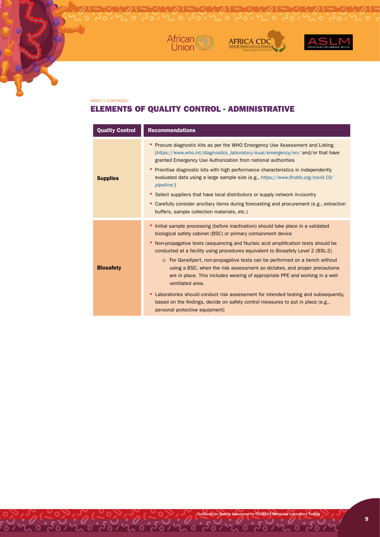



 $\mathcal{L} \cdot \mathcal{D} = \mathcal{L} \cdot \mathcal{D} = \mathcal{L} \cdot \mathcal{D}$ 



#### ANNEX 1 (CONTINUED)

### ELEMENTS OF QUALITY CONTROL - ADMINISTRATIVE

| <b>Quality Control</b> | <b>Recommendations</b>                                                                                                                                                                                                                                                                                                                                                                                                                                                                                                                                                                                                                                                                                                                                                                                         |  |
|------------------------|----------------------------------------------------------------------------------------------------------------------------------------------------------------------------------------------------------------------------------------------------------------------------------------------------------------------------------------------------------------------------------------------------------------------------------------------------------------------------------------------------------------------------------------------------------------------------------------------------------------------------------------------------------------------------------------------------------------------------------------------------------------------------------------------------------------|--|
| <b>Supplies</b>        | Procure diagnostic kits as per the WHO Emergency Use Assessment and Listing<br>(https://www.who.int/diagnostics_laboratory/eual/emergency/en/ and/or that have<br>granted Emergency Use Authorization from national authorities<br>Prioritise diagnostic kits with high performance characteristics in independently<br>٠<br>evaluated data using a large sample size (e.g., https://www.finddx.org/covid-19/<br>$pi$ pipeline $\land$<br>• Select suppliers that have local distributors or supply network in-country<br>Carefully consider ancillary items during forecasting and procurement (e.g., extraction<br>٠<br>buffers, sample collection materials, etc.)                                                                                                                                          |  |
| <b>Biosafety</b>       | Initial sample processing (before inactivation) should take place in a validated<br>٠<br>biological safety cabinet (BSC) or primary containment device<br>Non-propagative tests (sequencing and Nucleic acid amplification tests should be<br>٠<br>conducted at a facility using procedures equivalent to Biosafety Level 2 (BSL-2)<br>o For GeneXpert, non-propagative tests can be performed on a bench without<br>using a BSC, when the risk assessment so dictates, and proper precautions<br>are in place. This includes wearing of appropriate PPE and working in a well-<br>ventilated area.<br>Laboratories should conduct risk assessment for intended testing and subsequently,<br>based on the findings, decide on safety control measures to put in place (e.g.,<br>personal protective equipment) |  |

Guidance on Quality Assurance for COVID-19 Molecular Laboratory Testing

0. 0. 0. 0. 0. 0. 0. 0. 0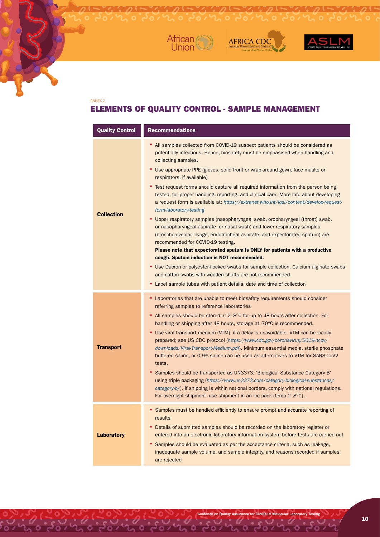



### ANNEX 2 ELEMENTS OF QUALITY CONTROL - SAMPLE MANAGEMENT

 $\frac{1}{2} \int_{0}^{2} \frac{1}{\sqrt{2}} \frac{1}{\sqrt{2}} \frac{1}{\sqrt{2}} \frac{1}{\sqrt{2}} \frac{1}{\sqrt{2}} \frac{1}{\sqrt{2}} \frac{1}{\sqrt{2}} \frac{1}{\sqrt{2}} \frac{1}{\sqrt{2}} \frac{1}{\sqrt{2}} \frac{1}{\sqrt{2}} \frac{1}{\sqrt{2}} \frac{1}{\sqrt{2}} \frac{1}{\sqrt{2}} \frac{1}{\sqrt{2}} \frac{1}{\sqrt{2}} \frac{1}{\sqrt{2}} \frac{1}{\sqrt{2}} \frac{1}{\sqrt{2}} \frac{1}{\sqrt{2}} \frac{1}{$ 

AFRICA CDC

| <b>Quality Control</b> | <b>Recommendations</b>                                                                                                                                                                                                                                                                                                                            |  |
|------------------------|---------------------------------------------------------------------------------------------------------------------------------------------------------------------------------------------------------------------------------------------------------------------------------------------------------------------------------------------------|--|
| <b>Collection</b>      | • All samples collected from COVID-19 suspect patients should be considered as<br>potentially infectious. Hence, biosafety must be emphasised when handling and<br>collecting samples.                                                                                                                                                            |  |
|                        | • Use appropriate PPE (gloves, solid front or wrap-around gown, face masks or<br>respirators, if available)                                                                                                                                                                                                                                       |  |
|                        | • Test request forms should capture all required information from the person being<br>tested, for proper handling, reporting, and clinical care. More info about developing<br>a request form is available at: https://extranet.who.int/lqsi/content/develop-request-<br>form-laboratory-testing                                                  |  |
|                        | • Upper respiratory samples (nasopharyngeal swab, oropharyngeal (throat) swab,<br>or nasopharyngeal aspirate, or nasal wash) and lower respiratory samples<br>(bronchoalveolar lavage, endotracheal aspirate, and expectorated sputum) are<br>recommended for COVID-19 testing.                                                                   |  |
|                        | Please note that expectorated sputum is ONLY for patients with a productive<br>cough. Sputum induction is NOT recommended.                                                                                                                                                                                                                        |  |
|                        | • Use Dacron or polyester-flocked swabs for sample collection. Calcium alginate swabs<br>and cotton swabs with wooden shafts are not recommended.                                                                                                                                                                                                 |  |
|                        | • Label sample tubes with patient details, date and time of collection                                                                                                                                                                                                                                                                            |  |
|                        | • Laboratories that are unable to meet biosafety requirements should consider<br>referring samples to reference laboratories                                                                                                                                                                                                                      |  |
|                        | • All samples should be stored at 2–8°C for up to 48 hours after collection. For<br>handling or shipping after 48 hours, storage at -70°C is recommended.                                                                                                                                                                                         |  |
| <b>Transport</b>       | • Use viral transport medium (VTM), if a delay is unavoidable. VTM can be locally<br>prepared; see US CDC protocol (https://www.cdc.gov/coronavirus/2019-ncov/<br>downloads/Viral-Transport-Medium.pdf). Minimum essential media, sterile phosphate<br>buffered saline, or 0.9% saline can be used as alternatives to VTM for SARS-CoV2<br>tests. |  |
|                        | Samples should be transported as UN3373, 'Biological Substance Category B'<br>٠<br>using triple packaging (https://www.un3373.com/category-biological-substances/<br>category-b/). If shipping is within national borders, comply with national regulations.<br>For overnight shipment, use shipment in an ice pack (temp 2-8°C).                 |  |
|                        | Samples must be handled efficiently to ensure prompt and accurate reporting of<br>results                                                                                                                                                                                                                                                         |  |
| <b>Laboratory</b>      | Details of submitted samples should be recorded on the laboratory register or<br>entered into an electronic laboratory information system before tests are carried out                                                                                                                                                                            |  |
|                        | Samples should be evaluated as per the acceptance criteria, such as leakage,<br>inadequate sample volume, and sample integrity, and reasons recorded if samples<br>are rejected                                                                                                                                                                   |  |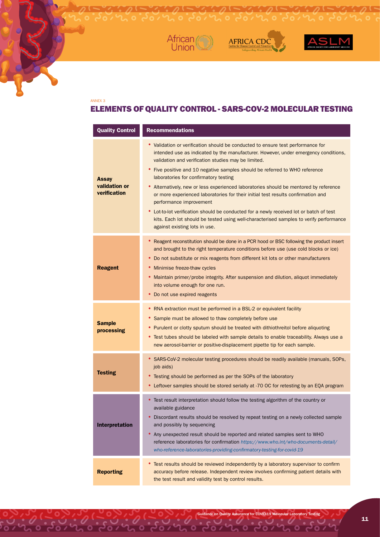



### ANNEX 3 ELEMENTS OF QUALITY CONTROL - SARS-COV-2 MOLECULAR TESTING

**AFRICA CDC** 

| <b>Quality Control</b>                        | <b>Recommendations</b>                                                                                                                                                                                                                                                                                                                                                                                                                                                                                                                                                                                                                                                                                                                                                              |  |
|-----------------------------------------------|-------------------------------------------------------------------------------------------------------------------------------------------------------------------------------------------------------------------------------------------------------------------------------------------------------------------------------------------------------------------------------------------------------------------------------------------------------------------------------------------------------------------------------------------------------------------------------------------------------------------------------------------------------------------------------------------------------------------------------------------------------------------------------------|--|
| <b>Assay</b><br>validation or<br>verification | • Validation or verification should be conducted to ensure test performance for<br>intended use as indicated by the manufacturer. However, under emergency conditions,<br>validation and verification studies may be limited.<br>• Five positive and 10 negative samples should be referred to WHO reference<br>laboratories for confirmatory testing<br>• Alternatively, new or less experienced laboratories should be mentored by reference<br>or more experienced laboratories for their initial test results confirmation and<br>performance improvement<br>• Lot-to-lot verification should be conducted for a newly received lot or batch of test<br>kits. Each lot should be tested using well-characterised samples to verify performance<br>against existing lots in use. |  |
| <b>Reagent</b>                                | Reagent reconstitution should be done in a PCR hood or BSC following the product insert<br>and brought to the right temperature conditions before use (use cold blocks or ice)<br>• Do not substitute or mix reagents from different kit lots or other manufacturers<br>• Minimise freeze-thaw cycles<br>Maintain primer/probe integrity. After suspension and dilution, aliquot immediately<br>into volume enough for one run.<br>• Do not use expired reagents                                                                                                                                                                                                                                                                                                                    |  |
| <b>Sample</b><br>processing                   | • RNA extraction must be performed in a BSL-2 or equivalent facility<br>• Sample must be allowed to thaw completely before use<br>• Purulent or clotty sputum should be treated with dithiothreitol before aliquoting<br>• Test tubes should be labeled with sample details to enable traceability. Always use a<br>new aerosol-barrier or positive-displacement pipette tip for each sample.                                                                                                                                                                                                                                                                                                                                                                                       |  |
| <b>Testing</b>                                | • SARS-CoV-2 molecular testing procedures should be readily available (manuals, SOPs,<br>job aids)<br>• Testing should be performed as per the SOPs of the laboratory<br>• Leftover samples should be stored serially at -70 OC for retesting by an EQA program                                                                                                                                                                                                                                                                                                                                                                                                                                                                                                                     |  |
| <b>Interpretation</b>                         | • Test result interpretation should follow the testing algorithm of the country or<br>available guidance<br>Discordant results should be resolved by repeat testing on a newly collected sample<br>and possibly by sequencing<br>• Any unexpected result should be reported and related samples sent to WHO<br>reference laboratories for confirmation https://www.who.int/who-documents-detail/<br>who-reference-laboratories-providing-confirmatory-testing-for-covid-19                                                                                                                                                                                                                                                                                                          |  |
| <b>Reporting</b>                              | • Test results should be reviewed independently by a laboratory supervisor to confirm<br>accuracy before release. Independent review involves confirming patient details with<br>the test result and validity test by control results.                                                                                                                                                                                                                                                                                                                                                                                                                                                                                                                                              |  |

Guidance on Quality Assurance for COVID-19 Molecular Laboratory Testing

 $\overline{\mathbf{o}}$ 

 $\overline{u}$  order

 $2000$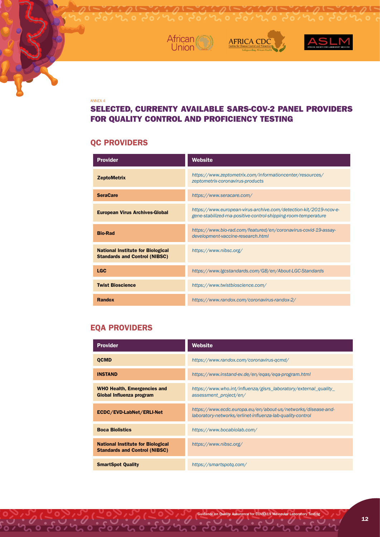





#### ANNEX 4

### SELECTED, CURRENTY AVAILABLE SARS-COV-2 PANEL PROVIDERS FOR QUALITY CONTROL AND PROFICIENCY TESTING

### **QC PROVIDERS**

| <b>Provider</b>                                                                  | <b>Website</b>                                                                                                                      |
|----------------------------------------------------------------------------------|-------------------------------------------------------------------------------------------------------------------------------------|
| <b>ZeptoMetrix</b>                                                               | https://www.zeptometrix.com/informationcenter/resources/<br>zeptometrix-coronavirus-products                                        |
| <b>SeraCare</b>                                                                  | https://www.seracare.com/                                                                                                           |
| <b>European Virus Archives-Global</b>                                            | https://www.european-virus-archive.com/detection-kit/2019-ncov-e-<br>gene-stabilized-rna-positive-control-shipping-room-temperature |
| <b>Bio-Rad</b>                                                                   | https://www.bio-rad.com/featured/en/coronavirus-covid-19-assay-<br>development-vaccine-research.html                                |
| <b>National Institute for Biological</b><br><b>Standards and Control (NIBSC)</b> | https://www.nibsc.org/                                                                                                              |
| <b>LGC</b>                                                                       | https://www.lgcstandards.com/GB/en/About-LGC-Standards                                                                              |
| <b>Twist Bioscience</b>                                                          | https://www.twistbioscience.com/                                                                                                    |
| Randox                                                                           | https://www.randox.com/coronavirus-randox-2/                                                                                        |

### **EQA PROVIDERS**

 $0.4000$ 

| <b>Provider</b>                                                                  | Website                                                                                                                   |
|----------------------------------------------------------------------------------|---------------------------------------------------------------------------------------------------------------------------|
| <b>QCMD</b>                                                                      | https://www.randox.com/coronavirus-gcmd/                                                                                  |
| <b>INSTAND</b>                                                                   | https://www.instand-ev.de/en/eqas/eqa-program.html                                                                        |
| <b>WHO Health, Emergencies and</b><br>Global Influenza program                   | https://www.who.int/influenza/gisrs_laboratory/external_quality_<br>assessment_project/en/                                |
| ECDC/EVD-LabNet/ERLI-Net                                                         | https://www.ecdc.europa.eu/en/about-us/networks/disease-and-<br>laboratory-networks/erlinet-influenza-lab-quality-control |
| <b>Boca Biolistics</b>                                                           | https://www.bocabiolab.com/                                                                                               |
| <b>National Institute for Biological</b><br><b>Standards and Control (NIBSC)</b> | https://www.nibsc.org/                                                                                                    |
| <b>SmartSpot Quality</b>                                                         | https://smartspotg.com/                                                                                                   |

 $\frac{1}{2}$  or  $\frac{1}{2}$ 

 $\overline{\bullet}$ 

Guidance on Quality Assurance for COVID-19 Molecular Laboratory Testing

 $\overline{\bullet}$ 

 $\overline{\mathcal{U}}$  or  $\overline{\mathcal{C}}$ 

 $\sim$  0  $\sigma$ 

 $\overline{\bullet}$